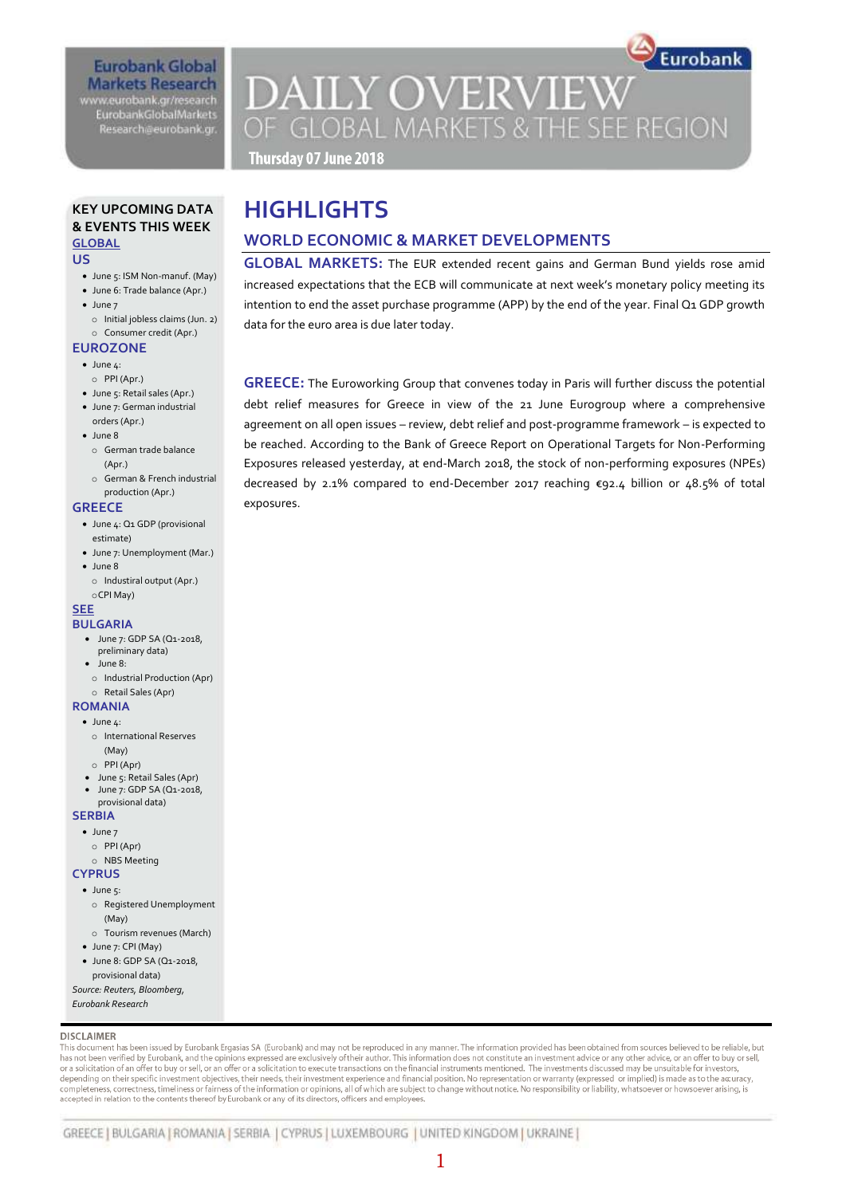# **Eurobank Global Markets Research**

www.eurobank.gr/research **EurobankGlobalMarkets** Research@eurobank.gr

# **DAILY OVERVIEW** OF GLOBAL MARKETS & THE SEE REGION

Eurobank

Thursday 07 June 2018

#### **KEY UPCOMING DATA & EVENTS THIS WEEK GLOBAL**

#### **US**

- June 5: ISM Non-manuf. (May)
- June 6: Trade balance (Apr.)
- $\bullet$  June 7
- o Initial jobless claims (Jun. 2) o Consumer credit (Apr.)

# **EUROZONE**

- $\bullet$  lune  $\mathcal{L}$
- o PPI (Apr.)
- June 5: Retail sales (Apr.) June 7: German industrial
- orders (Apr.)
- $\bullet$  lune 8
- o German trade balance (Apr.)
- o German & French industrial production (Apr.)

#### **GREECE**

- June 4: Q1 GDP (provisional estimate)
- June 7: Unemployment (Mar.) June 8 o Industiral output (Apr.)
- oCPI May)

## **SEE**

- **BULGARIA** June 7: GDP SA (Q1-2018,
	- preliminary data)
	- June 8:
	- o Industrial Production (Apr)
	- o Retail Sales (Apr)

#### **ROMANIA**  $\bullet$  June 4:

- o International Reserves (May)
- o PPI (Apr)
- June 5: Retail Sales (Apr)
- June 7: GDP SA (Q1-2018,
- provisional data)

### **SERBIA**

- $\bullet$  June 7
- o PPI (Apr)
- o NBS Meeting

# **CYPRUS**

- $\bullet$  June  $5$ : o Registered Unemployment
	- (May)
- o Tourism revenues (March)
- $\bullet$  lune  $7 \cdot$  CPI (May)
- June 8: GDP SA (Q1-2018,
- provisional data) *Source: Reuters, Bloomberg,*

*Eurobank Research*

# **DISCLAIMER**

This document has been issued by Eurobank Ergasias SA (Eurobank) and may not be reproduced in any manner. The information provided has been obtained from sources believed to be reliable, but has not been verified by Eurobank, and the opinions expressed are exclusively of their author. This information does not constitute an investment advice or any other advice, or an offer to buy or sell. or a solicitation of an offer to buy or sell, or an offer or a solicitation to execute transactions on the financial instruments mentioned. The investments discussed may be unsuitable for investors, depending on their specific investment objectives, their needs, their investment experience and financial position. No representation or warranty (expressed or implied) is made as to the accuracy, completeness, correctness, timeliness or fairness of the information or opinions, all of which are subject to change without notice. No responsibility or liability, whatsoever or howsoever arising, is accepted in relation to the contents thereof by Eurobank or any of its directors, officers and employees.

# **HIGHLIGHTS**

# **WORLD ECONOMIC & MARKET DEVELOPMENTS**

**GLOBAL MARKETS:** The EUR extended recent gains and German Bund yields rose amid increased expectations that the ECB will communicate at next week's monetary policy meeting its intention to end the asset purchase programme (APP) by the end of the year. Final Q1 GDP growth data for the euro area is due later today.

**GREECE:** The Euroworking Group that convenes today in Paris will further discuss the potential debt relief measures for Greece in view of the 21 June Eurogroup where a comprehensive agreement on all open issues – review, debt relief and post-programme framework – is expected to be reached. According to the Bank of Greece Report on Operational Targets for Non-Performing Exposures released yesterday, at end-March 2018, the stock of non-performing exposures (NPEs) decreased by 2.1% compared to end-December 2017 reaching €92.4 billion or 48.5% of total exposures.

# 1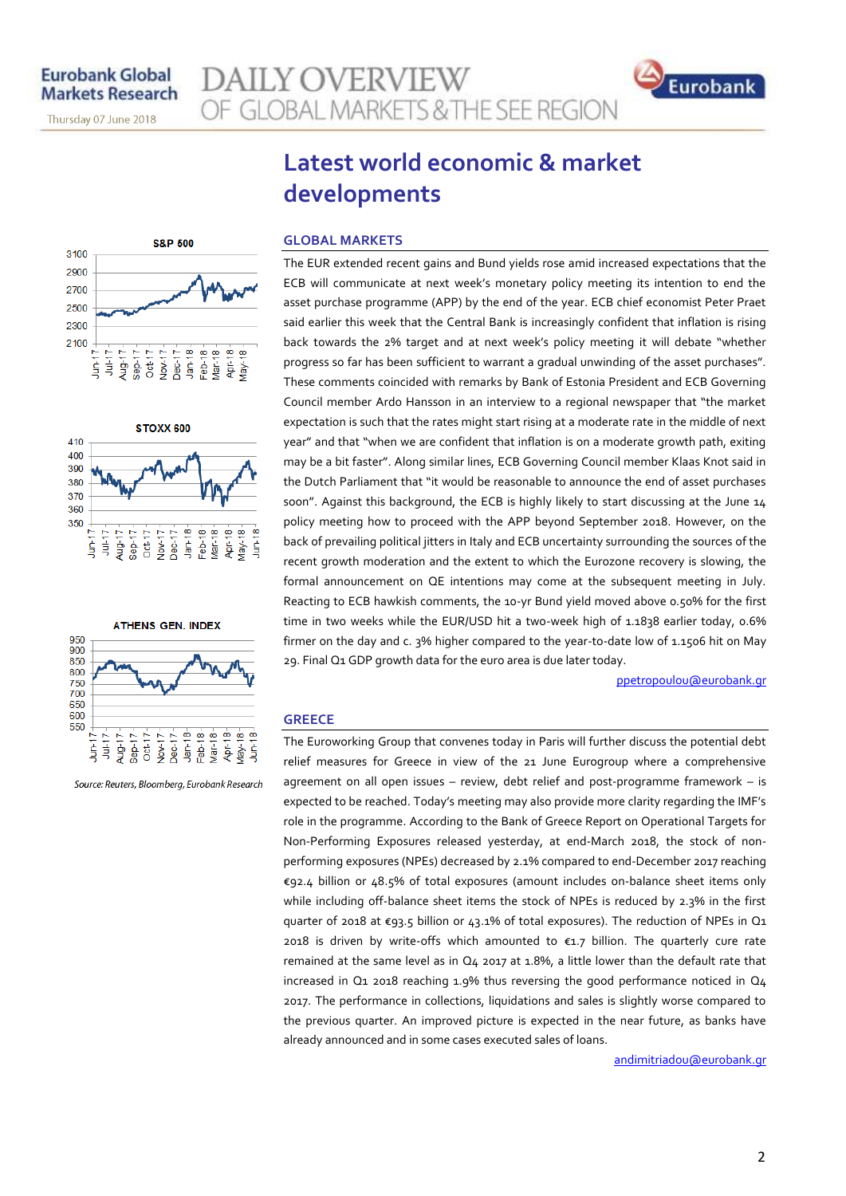Thursday 07 June 2018

# **Latest world economic & market developments**

OF GLOBAL MARKETS & THE SEE REGION

#### **S&P 500** 3100 2900 2700 2500 2300 2100  $J$ ul-17 -Aug-17- $Sep-17 Jan+18$ Apr-18 -<br>May-18 - $J$ un- $17$ Nov-17- $Dec-17$ Feb-18<br>Mar-18  $Oct-17$





Source: Reuters, Bloomberg, Eurobank Research

### **GLOBAL MARKETS**

**AILY OVERVIEW** 

The EUR extended recent gains and Bund yields rose amid increased expectations that the ECB will communicate at next week's monetary policy meeting its intention to end the asset purchase programme (APP) by the end of the year. ECB chief economist Peter Praet said earlier this week that the Central Bank is increasingly confident that inflation is rising back towards the 2% target and at next week's policy meeting it will debate "whether progress so far has been sufficient to warrant a gradual unwinding of the asset purchases". These comments coincided with remarks by Bank of Estonia President and ECB Governing Council member Ardo Hansson in an interview to a regional newspaper that "the market expectation is such that the rates might start rising at a moderate rate in the middle of next year" and that "when we are confident that inflation is on a moderate growth path, exiting may be a bit faster". Along similar lines, ECB Governing Council member Klaas Knot said in the Dutch Parliament that "it would be reasonable to announce the end of asset purchases soon". Against this background, the ECB is highly likely to start discussing at the June 14 policy meeting how to proceed with the APP beyond September 2018. However, on the back of prevailing political jitters in Italy and ECB uncertainty surrounding the sources of the recent growth moderation and the extent to which the Eurozone recovery is slowing, the formal announcement on QE intentions may come at the subsequent meeting in July. Reacting to ECB hawkish comments, the 10-yr Bund yield moved above 0.50% for the first time in two weeks while the EUR/USD hit a two-week high of 1.1838 earlier today, 0.6% firmer on the day and c. 3% higher compared to the year-to-date low of 1.1506 hit on May 29. Final Q1 GDP growth data for the euro area is due later today.

ppetropoulou@eurobank.gr

Eurobank

### **GREECE**

The Euroworking Group that convenes today in Paris will further discuss the potential debt relief measures for Greece in view of the 21 June Eurogroup where a comprehensive agreement on all open issues – review, debt relief and post-programme framework – is expected to be reached. Today's meeting may also provide more clarity regarding the IMF's role in the programme. According to the Bank of Greece Report on Operational Targets for Non-Performing Exposures released yesterday, at end-March 2018, the stock of nonperforming exposures (NPEs) decreased by 2.1% compared to end-December 2017 reaching €92.4 billion or 48.5% of total exposures (amount includes on-balance sheet items only while including off-balance sheet items the stock of NPEs is reduced by 2.3% in the first quarter of 2018 at €93.5 billion or 43.1% of total exposures). The reduction of NPEs in Q1 2018 is driven by write-offs which amounted to €1.7 billion. The quarterly cure rate remained at the same level as in  $Q_4$  2017 at 1.8%, a little lower than the default rate that increased in  $Q_1$  2018 reaching 1.9% thus reversing the good performance noticed in  $Q_4$ 2017. The performance in collections, liquidations and sales is slightly worse compared to the previous quarter. An improved picture is expected in the near future, as banks have already announced and in some cases executed sales of loans.

andimitriadou@eurobank.gr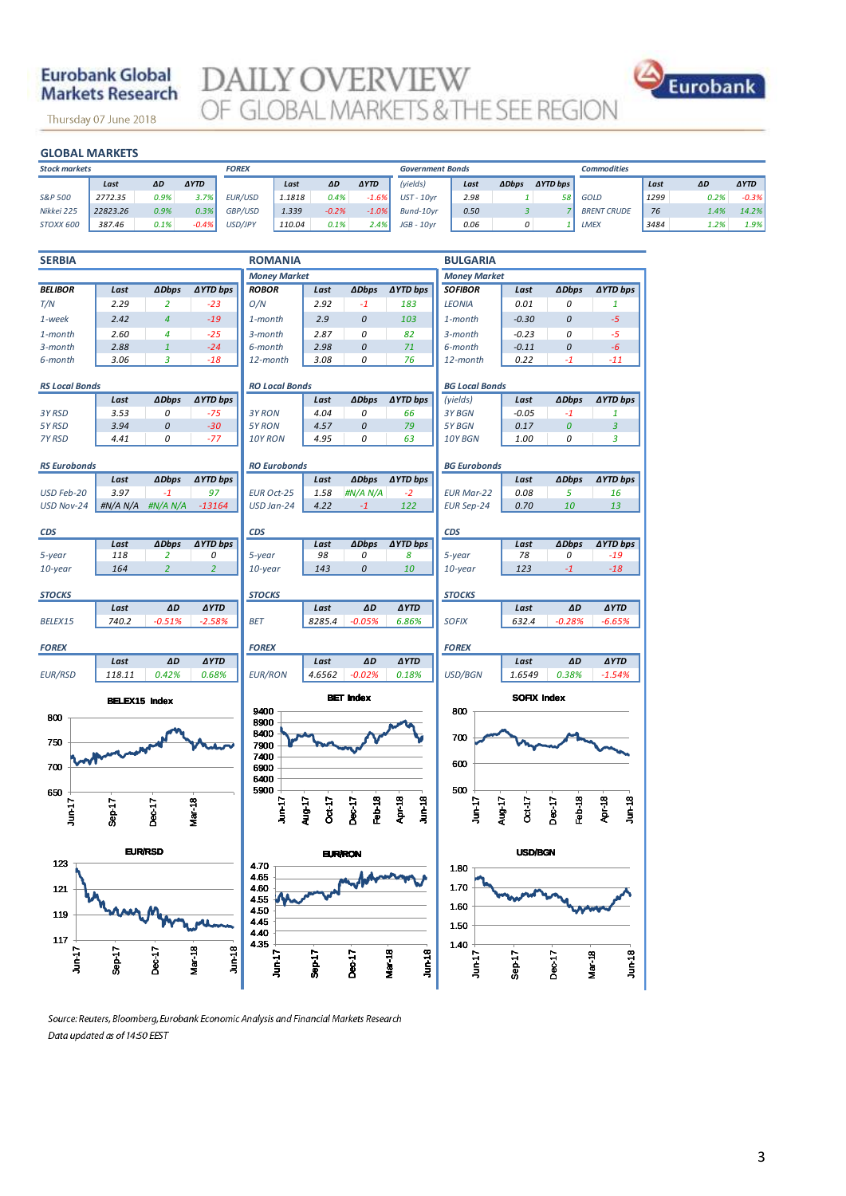# **Eurobank Global Markets Research**

Thursday 07 June 2018

**DAILY OVERVIEW**<br>OF GLOBAL MARKETS & THE SEE REGION



|                      | <b>GLOBAL MARKETS</b> |      |             |              |        |         |             |                         |      |              |                 |                    |      |      |             |
|----------------------|-----------------------|------|-------------|--------------|--------|---------|-------------|-------------------------|------|--------------|-----------------|--------------------|------|------|-------------|
| <b>Stock markets</b> |                       |      |             | <b>FOREX</b> |        |         |             | <b>Government Bonds</b> |      |              |                 | <b>Commodities</b> |      |      |             |
|                      | Last                  | ΔD   | <b>AYTD</b> |              | Last   | ΔD      | <b>AYTD</b> | (yields)                | Last | <b>ADbps</b> | <b>AYTD bps</b> |                    | Last | ΔD   | <b>AYTD</b> |
| S&P 500              | 2772.35               | 0.9% | 3.7%        | EUR/USD      | 1.1818 | 0.4%    | $-1.6%$     | <b>UST-10vr</b>         | 2.98 |              | 58 L            | GOLD               | 1299 | 0.2% | $-0.3%$     |
| Nikkei 225           | 22823.26              | 0.9% | 0.3%        | GBP/USD      | 1.339  | $-0.2%$ | $-1.0%$     | Bund-10vr               | 0.50 |              |                 | <b>BRENT CRUDE</b> | 76   | 1.4% | 14.2%       |
| <b>STOXX 600</b>     | 387.46                | 0.1% | $-0.4%$     | USD/JPY      | 110.04 | 0.1%    | 2.4%        | $JGB - 10yr$            | 0.06 | 0            |                 | LMEX               | 3484 | 1.2% | 1.9%        |

| <b>SERBIA</b>         |                      |                |                            | <b>ROMANIA</b>         |                  |                         |                            | <b>BULGARIA</b>        |                  |                  |                        |  |
|-----------------------|----------------------|----------------|----------------------------|------------------------|------------------|-------------------------|----------------------------|------------------------|------------------|------------------|------------------------|--|
|                       |                      |                |                            | <b>Money Market</b>    |                  |                         |                            | <b>Money Market</b>    |                  |                  |                        |  |
| <b>BELIBOR</b>        | Last                 | <b>ADbps</b>   | <b>∆YTD bps</b>            | <b>ROBOR</b>           | Last             | <b>ADbps</b>            | <b>∆YTD bps</b>            | <b>SOFIBOR</b>         | Last             | <b>ADbps</b>     | <b>∆YTD bps</b>        |  |
| T/N                   | 2.29                 | $\overline{2}$ | $-23$                      | O/N                    | 2.92             | $-1$                    | 183                        | <b>LFONIA</b>          | 0.01             | $\theta$         | $\mathbf{1}$           |  |
| 1-week                | 2.42                 | $\overline{4}$ | $-19$                      | $1$ -month             | 2.9              | $\Omega$                | 103                        | $1$ -month             | $-0.30$          | $\Omega$         | $-5$                   |  |
| $1$ -month            | 2.60                 | $\overline{4}$ | $-25$                      | 3-month                | 2.87             | 0                       | 82                         | 3-month                | $-0.23$          | 0                | $-5$                   |  |
| 3-month               | 2.88                 | $\mathbf{1}$   | $-24$                      | 6-month                | 2.98             | $\mathcal{O}$           | 71                         | 6-month                | $-0.11$          | $\mathcal{O}$    | $-6$                   |  |
| 6-month               | 3.06                 | 3              | $-18$                      | 12-month               | 3.08             | 0                       | 76                         | 12-month               | 0.22             | $-1$             | $-11$                  |  |
| <b>RS Local Bonds</b> |                      |                |                            | <b>RO Local Bonds</b>  |                  |                         |                            | <b>BG Local Bonds</b>  |                  |                  |                        |  |
|                       | Last                 | <b>ADbps</b>   | <b>AYTD bps</b>            |                        | Last             | <b>ADbps</b>            | <b>AYTD bps</b>            | (yields)               | Last             | <b>ADbps</b>     | <b>AYTD bps</b>        |  |
| 3Y RSD                | 3.53                 | 0              | $-75$                      | 3Y RON                 | 4.04             | 0                       | 66                         | 3Y BGN                 | $-0.05$          | $-1$             | 1                      |  |
| 5Y RSD                | 3.94                 | 0              | $-30$                      | 5Y RON                 | 4.57             | 0                       | 79                         | 5Y BGN                 | 0.17             | $\boldsymbol{0}$ | $\overline{3}$         |  |
| 7Y RSD                | 4.41                 | 0              | -77                        | 10Y RON                | 4.95             | 0                       | 63                         | 10Y BGN                | 1.00             | 0                | 3                      |  |
| <b>RS Eurobonds</b>   |                      |                | <b>RO Eurobonds</b>        |                        |                  |                         | <b>BG Eurobonds</b>        |                        |                  |                  |                        |  |
|                       | Last                 | <b>ADbps</b>   | ∆YTD bps                   |                        | Last             | <b>ADbps</b>            | <b>∆YTD bps</b>            |                        | Last             | <b>ADbps</b>     | <b>∆YTD bps</b>        |  |
| USD Feb-20            | 3.97                 | $-1$           | 97                         | <b>EUR Oct-25</b>      | 1.58             | #N/A N/A                | $-2$                       | <b>EUR Mar-22</b>      | 0.08             | 5                | 16                     |  |
| USD Nov-24            | #N/A N/A             | #N/A N/A       | $-13164$                   | USD Jan-24             | 4.22             | $-1$                    | 122                        | <b>EUR Sep-24</b>      | 0.70             | 10               | 13                     |  |
|                       |                      |                |                            |                        |                  |                         |                            |                        |                  |                  |                        |  |
| CDS                   | Last                 | <b>ADbps</b>   | <b>AYTD bps</b>            | <b>CDS</b>             | Last             | <b>ADbps</b>            | <b>AYTD bps</b>            | <b>CDS</b>             | Last             | <b>ADbps</b>     | <b>AYTD bps</b>        |  |
| 5-year                | 118                  | $\overline{2}$ | 0                          | 5-year                 | 98               | 0                       | 8                          | 5-year                 | 78               | 0                | $-19$                  |  |
| 10-year               | 164                  | $\overline{2}$ | $\overline{2}$             | 10-year                | 143              | 0                       | 10                         | 10-year                | 123              | $-1$             | $-18$                  |  |
|                       |                      |                |                            |                        |                  |                         |                            |                        |                  |                  |                        |  |
| <b>STOCKS</b>         |                      |                |                            | <b>STOCKS</b>          |                  |                         |                            | <b>STOCKS</b>          |                  |                  |                        |  |
|                       | Last                 | ΔD             | <b>AYTD</b>                |                        | Last             | ΔD                      | <b>AYTD</b>                |                        | Last             | AD               | <b>AYTD</b>            |  |
| BELEX15               | 740.2                | $-0.51%$       | $-2.58%$                   | <b>BET</b>             | 8285.4           | $-0.05%$                | 6.86%                      | <b>SOFIX</b>           | 632.4            | $-0.28%$         | $-6.65%$               |  |
| <b>FOREX</b>          |                      |                |                            | <b>FOREX</b>           |                  |                         |                            | <b>FOREX</b>           |                  |                  |                        |  |
|                       | Last                 | AD             | <b>AYTD</b>                |                        | Last             | ΔD                      | <b>AYTD</b>                |                        | Last             | ΔD               | <b>AYTD</b>            |  |
| <b>EUR/RSD</b>        | 118.11               | 0.42%          | 0.68%                      | <b>EUR/RON</b>         | 4.6562           | $-0.02%$                | 0.18%                      | <b>USD/BGN</b>         | 1.6549           | 0.38%            | $-1.54%$               |  |
|                       | <b>BELEX15 Index</b> |                |                            | <b>BET</b> Index       |                  |                         |                            | <b>SOFIX Index</b>     |                  |                  |                        |  |
| 800                   |                      |                |                            | 9400<br>8900           |                  |                         |                            | 800                    |                  |                  |                        |  |
|                       |                      |                |                            | 8400                   |                  |                         |                            | 700                    |                  |                  |                        |  |
| 750                   |                      |                |                            | 7900                   |                  |                         |                            |                        |                  |                  |                        |  |
| 700                   |                      |                |                            | 7400<br>6900           |                  |                         |                            | 600                    |                  |                  |                        |  |
|                       |                      |                |                            | 6400                   |                  |                         |                            |                        |                  |                  |                        |  |
| 650                   |                      |                |                            | 5900                   |                  |                         |                            | 500                    |                  |                  |                        |  |
| $J$ un-17             | Sep-17               | Dec-17         | <b>Mar-18</b>              | Jun-17                 | Aug-17<br>Oct-17 | <b>Dec-17</b><br>Feb-18 | Apr-18<br>Jun-18           | Jun-17                 | Aug-17<br>Oct-17 | Feb-18<br>Dec-17 | Jun-18<br>Apr-18       |  |
|                       |                      |                |                            |                        |                  |                         |                            |                        |                  |                  |                        |  |
|                       |                      |                |                            |                        |                  |                         |                            |                        |                  |                  |                        |  |
| 123                   | <b>EUR/RSD</b>       |                |                            | <b>EUR/RON</b><br>4.70 |                  |                         |                            | <b>USD/BGN</b><br>1.80 |                  |                  |                        |  |
|                       |                      |                |                            | 465                    |                  |                         |                            | 1.70                   |                  |                  |                        |  |
| 121                   |                      |                |                            | 460<br>4.55            |                  |                         |                            |                        |                  |                  |                        |  |
| 119                   |                      |                |                            | 450                    |                  |                         |                            | 1.60                   |                  |                  |                        |  |
|                       |                      |                |                            | 4.45                   |                  |                         |                            | 1.50                   |                  |                  |                        |  |
| 117                   |                      |                |                            | 4.40<br>4.35           |                  |                         |                            |                        |                  |                  |                        |  |
|                       |                      |                |                            |                        |                  |                         |                            | 1.40                   |                  |                  |                        |  |
| lun 17                | Sep-17               | <b>Dec-17</b>  | <b>Mar-18</b><br>$J$ un-18 | ς<br>Ε                 | <b>Sep 17</b>    | <b>Dec-17</b>           | $J$ un-18<br><b>Mar-18</b> | Ϊ<br>ξ                 | Sep-17           | <b>Dec-17</b>    | <b>Mar-18</b><br>Jun18 |  |
|                       |                      |                |                            |                        |                  |                         |                            |                        |                  |                  |                        |  |

Source: Reuters, Bloomberg, Eurobank Economic Analysis and Financial Markets Research Data updated as of 14:50 EEST